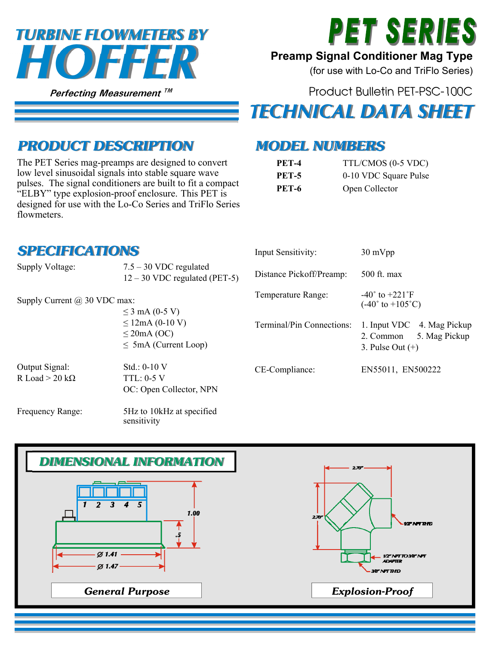# *HOFFER TURBINE FLOWMETERS BY*

**Perfecting Measurement TM** 



#### **Preamp Signal Conditioner Mag Type**

(for use with Lo-Co and TriFlo Series)

Product Bulletin PET-PSC-100C

## *TECHNICAL DATA SHEET*

#### *PRODUCT DESCRIPTION*

The PET Series mag-preamps are designed to convert low level sinusoidal signals into stable square wave pulses. The signal conditioners are built to fit a compact "ELBY" type explosion-proof enclosure. This PET is designed for use with the Lo-Co Series and TriFlo Series flowmeters.

#### *MODEL NUMBERS*

| <b>PET-4</b> | TTL/CMOS (0-5 VDC)    |
|--------------|-----------------------|
| <b>PET-5</b> | 0-10 VDC Square Pulse |
| <b>PET-6</b> | Open Collector        |

| <b>SPECIFICATIONS</b>                              |                                                                       | Input Sensitivity:        | $30 \text{ mVpp}$                                                                 |
|----------------------------------------------------|-----------------------------------------------------------------------|---------------------------|-----------------------------------------------------------------------------------|
| Supply Voltage:                                    | $7.5 - 30$ VDC regulated<br>$12 - 30$ VDC regulated (PET-5)           | Distance Pickoff/Preamp:  | 500 ft. max                                                                       |
| Supply Current $(a)$ 30 VDC max:<br>≤ 3 mA (0-5 V) |                                                                       | Temperature Range:        | $-40^{\circ}$ to $+221^{\circ}$ F<br>$(-40^{\circ}$ to $+105^{\circ}$ C)          |
|                                                    | $\leq$ 12mA (0-10 V)<br>$\leq$ 20mA (OC)<br>$\leq$ 5mA (Current Loop) | Terminal/Pin Connections: | 4. Mag Pickup<br>1. Input VDC<br>5. Mag Pickup<br>2. Common<br>3. Pulse Out $(+)$ |
| Output Signal:<br>R Load $>$ 20 kΩ                 | $Std.: 0-10 V$<br>$TTL: 0-5V$<br>OC: Open Collector, NPN              | CE-Compliance:            | EN55011, EN500222                                                                 |
| Frequency Range:                                   | 5Hz to 10kHz at specified<br>sensitivity                              |                           |                                                                                   |